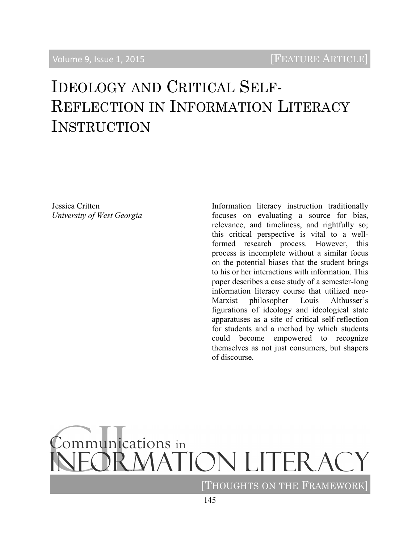# IDEOLOGY AND CRITICAL SELF-REFLECTION IN INFORMATION LITERACY **INSTRUCTION**

Jessica Critten *University of West Georgia* Information literacy instruction traditionally focuses on evaluating a source for bias, relevance, and timeliness, and rightfully so; this critical perspective is vital to a wellformed research process. However, this process is incomplete without a similar focus on the potential biases that the student brings to his or her interactions with information. This paper describes a case study of a semester-long information literacy course that utilized neo-Marxist philosopher Louis Althusser's figurations of ideology and ideological state apparatuses as a site of critical self-reflection for students and a method by which students could become empowered to recognize themselves as not just consumers, but shapers of discourse.

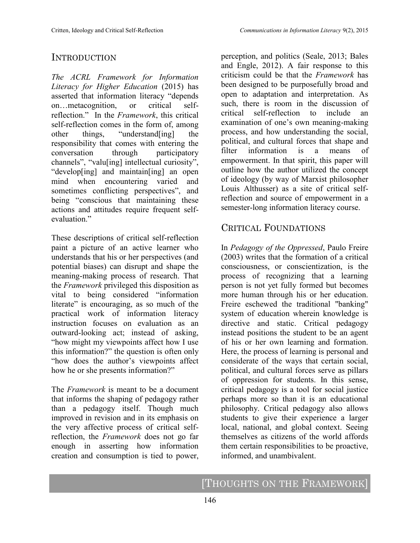# INTRODUCTION

*The ACRL Framework for Information Literacy for Higher Education* (2015) has asserted that information literacy "depends on…metacognition, or critical selfreflection." In the *Framework*, this critical self-reflection comes in the form of, among other things, "understand[ing] the responsibility that comes with entering the conversation through participatory channels", "valu[ing] intellectual curiosity", "develop[ing] and maintain[ing] an open mind when encountering varied and sometimes conflicting perspectives", and being "conscious that maintaining these actions and attitudes require frequent selfevaluation<sup>"</sup>

These descriptions of critical self-reflection paint a picture of an active learner who understands that his or her perspectives (and potential biases) can disrupt and shape the meaning-making process of research. That the *Framework* privileged this disposition as vital to being considered "information literate" is encouraging, as so much of the practical work of information literacy instruction focuses on evaluation as an outward-looking act; instead of asking, "how might my viewpoints affect how I use this information?" the question is often only "how does the author's viewpoints affect how he or she presents information?"

The *Framework* is meant to be a document that informs the shaping of pedagogy rather than a pedagogy itself. Though much improved in revision and in its emphasis on the very affective process of critical selfreflection, the *Framework* does not go far enough in asserting how information creation and consumption is tied to power, perception, and politics (Seale, 2013; Bales and Engle, 2012). A fair response to this criticism could be that the *Framework* has been designed to be purposefully broad and open to adaptation and interpretation. As such, there is room in the discussion of critical self-reflection to include an examination of one's own meaning-making process, and how understanding the social, political, and cultural forces that shape and filter information is a means of empowerment. In that spirit, this paper will outline how the author utilized the concept of ideology (by way of Marxist philosopher Louis Althusser) as a site of critical selfreflection and source of empowerment in a semester-long information literacy course.

#### CRITICAL FOUNDATIONS

In *Pedagogy of the Oppressed*, Paulo Freire (2003) writes that the formation of a critical consciousness, or conscientization, is the process of recognizing that a learning person is not yet fully formed but becomes more human through his or her education. Freire eschewed the traditional "banking" system of education wherein knowledge is directive and static. Critical pedagogy instead positions the student to be an agent of his or her own learning and formation. Here, the process of learning is personal and considerate of the ways that certain social, political, and cultural forces serve as pillars of oppression for students. In this sense, critical pedagogy is a tool for social justice perhaps more so than it is an educational philosophy. Critical pedagogy also allows students to give their experience a larger local, national, and global context. Seeing themselves as citizens of the world affords them certain responsibilities to be proactive, informed, and unambivalent.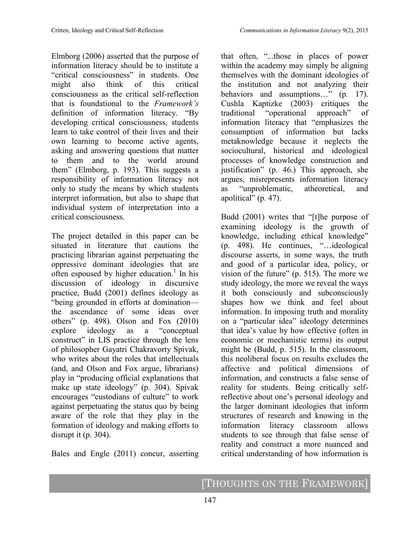Elmborg (2006) asserted that the purpose of information literacy should be to institute a "critical consciousness" in students. One might also think of this critical consciousness as the critical self-reflection that is foundational to the *Framework's* definition of information literacy. "By developing critical consciousness, students learn to take control of their lives and their own learning to become active agents, asking and answering questions that matter to them and to the world around them" (Elmborg, p. 193). This suggests a responsibility of information literacy not only to study the means by which students interpret information, but also to shape that individual system of interpretation into a critical consciousness.

The project detailed in this paper can be situated in literature that cautions the practicing librarian against perpetuating the oppressive dominant ideologies that are often espoused by higher education.<sup>1</sup> In his discussion of ideology in discursive practice, Budd (2001) defines ideology as "being grounded in efforts at domination the ascendance of some ideas over others" (p. 498). Olson and Fox (2010) explore ideology as a "conceptual construct" in LIS practice through the lens of philosopher Gayatri Chakravorty Spivak, who writes about the roles that intellectuals (and, and Olson and Fox argue, librarians) play in "producing official explanations that make up state ideology" (p. 304). Spivak encourages "custodians of culture" to work against perpetuating the status quo by being aware of the role that they play in the formation of ideology and making efforts to disrupt it (p. 304).

Bales and Engle (2011) concur, asserting

that often, "...those in places of power within the academy may simply be aligning themselves with the dominant ideologies of the institution and not analyzing their behaviors and assumptions..." (p. 17). Cushla Kaptizke (2003) critiques the traditional "operational approach" of information literacy that "emphasizes the consumption of information but lacks metaknowledge because it neglects the sociocultural, historical and ideological processes of knowledge construction and justification" (p. 46.) This approach, she argues, misrepresents information literacy as "unproblematic, atheoretical, and apolitical" (p. 47).

Budd (2001) writes that "[t]he purpose of examining ideology is the growth of knowledge, including ethical knowledge" (p. 498). He continues, "…ideological discourse asserts, in some ways, the truth and good of a particular idea, policy, or vision of the future" (p. 515). The more we study ideology, the more we reveal the ways it both consciously and subconsciously shapes how we think and feel about information. In imposing truth and morality on a "particular idea" ideology determines that idea's value by how effective (often in economic or mechanistic terms) its output might be (Budd, p. 515). In the classroom, this neoliberal focus on results excludes the affective and political dimensions of information, and constructs a false sense of reality for students. Being critically selfreflective about one's personal ideology and the larger dominant ideologies that inform structures of research and knowing in the information literacy classroom allows students to see through that false sense of reality and construct a more nuanced and critical understanding of how information is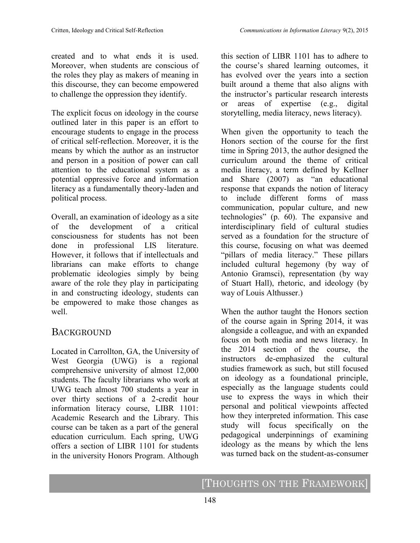created and to what ends it is used. Moreover, when students are conscious of the roles they play as makers of meaning in this discourse, they can become empowered to challenge the oppression they identify.

The explicit focus on ideology in the course outlined later in this paper is an effort to encourage students to engage in the process of critical self-reflection. Moreover, it is the means by which the author as an instructor and person in a position of power can call attention to the educational system as a potential oppressive force and information literacy as a fundamentally theory-laden and political process.

Overall, an examination of ideology as a site of the development of a critical consciousness for students has not been done in professional LIS literature. However, it follows that if intellectuals and librarians can make efforts to change problematic ideologies simply by being aware of the role they play in participating in and constructing ideology, students can be empowered to make those changes as well.

#### BACKGROUND

Located in Carrollton, GA, the University of West Georgia (UWG) is a regional comprehensive university of almost 12,000 students. The faculty librarians who work at UWG teach almost 700 students a year in over thirty sections of a 2-credit hour information literacy course, LIBR 1101: Academic Research and the Library. This course can be taken as a part of the general education curriculum. Each spring, UWG offers a section of LIBR 1101 for students in the university Honors Program. Although this section of LIBR 1101 has to adhere to the course's shared learning outcomes, it has evolved over the years into a section built around a theme that also aligns with the instructor's particular research interests or areas of expertise (e.g., digital storytelling, media literacy, news literacy).

When given the opportunity to teach the Honors section of the course for the first time in Spring 2013, the author designed the curriculum around the theme of critical media literacy, a term defined by Kellner and Share (2007) as "an educational response that expands the notion of literacy to include different forms of mass communication, popular culture, and new technologies" (p. 60). The expansive and interdisciplinary field of cultural studies served as a foundation for the structure of this course, focusing on what was deemed "pillars of media literacy." These pillars included cultural hegemony (by way of Antonio Gramsci), representation (by way of Stuart Hall), rhetoric, and ideology (by way of Louis Althusser.)

When the author taught the Honors section of the course again in Spring 2014, it was alongside a colleague, and with an expanded focus on both media and news literacy. In the 2014 section of the course, the instructors de-emphasized the cultural studies framework as such, but still focused on ideology as a foundational principle, especially as the language students could use to express the ways in which their personal and political viewpoints affected how they interpreted information. This case study will focus specifically on the pedagogical underpinnings of examining ideology as the means by which the lens was turned back on the student-as-consumer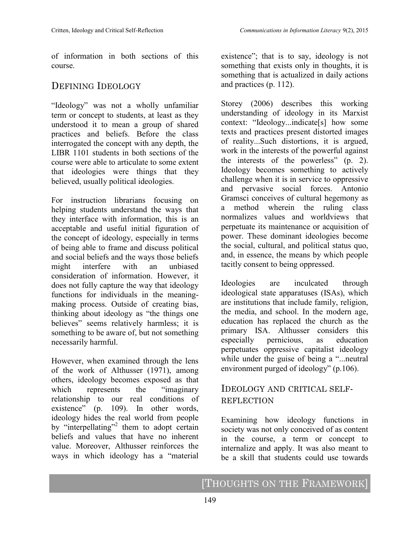of information in both sections of this course.

# DEFINING IDEOLOGY

"Ideology" was not a wholly unfamiliar term or concept to students, at least as they understood it to mean a group of shared practices and beliefs. Before the class interrogated the concept with any depth, the LIBR 1101 students in both sections of the course were able to articulate to some extent that ideologies were things that they believed, usually political ideologies.

For instruction librarians focusing on helping students understand the ways that they interface with information, this is an acceptable and useful initial figuration of the concept of ideology, especially in terms of being able to frame and discuss political and social beliefs and the ways those beliefs might interfere with an unbiased consideration of information. However, it does not fully capture the way that ideology functions for individuals in the meaningmaking process. Outside of creating bias, thinking about ideology as "the things one believes" seems relatively harmless; it is something to be aware of, but not something necessarily harmful.

However, when examined through the lens of the work of Althusser (1971), among others, ideology becomes exposed as that which represents the "imaginary" relationship to our real conditions of existence" (p. 109). In other words, ideology hides the real world from people by "interpellating"<sup>2</sup> them to adopt certain beliefs and values that have no inherent value. Moreover, Althusser reinforces the ways in which ideology has a "material

existence"; that is to say, ideology is not something that exists only in thoughts, it is something that is actualized in daily actions and practices (p. 112).

Storey (2006) describes this working understanding of ideology in its Marxist context: "Ideology...indicate[s] how some texts and practices present distorted images of reality...Such distortions, it is argued, work in the interests of the powerful against the interests of the powerless" (p. 2). Ideology becomes something to actively challenge when it is in service to oppressive and pervasive social forces. Antonio Gramsci conceives of cultural hegemony as a method wherein the ruling class normalizes values and worldviews that perpetuate its maintenance or acquisition of power. These dominant ideologies become the social, cultural, and political status quo, and, in essence, the means by which people tacitly consent to being oppressed.

Ideologies are inculcated through ideological state apparatuses (ISAs), which are institutions that include family, religion, the media, and school. In the modern age, education has replaced the church as the primary ISA. Althusser considers this especially pernicious, as education perpetuates oppressive capitalist ideology while under the guise of being a "...neutral environment purged of ideology" (p.106).

## IDEOLOGY AND CRITICAL SELF-**REFLECTION**

Examining how ideology functions in society was not only conceived of as content in the course, a term or concept to internalize and apply. It was also meant to be a skill that students could use towards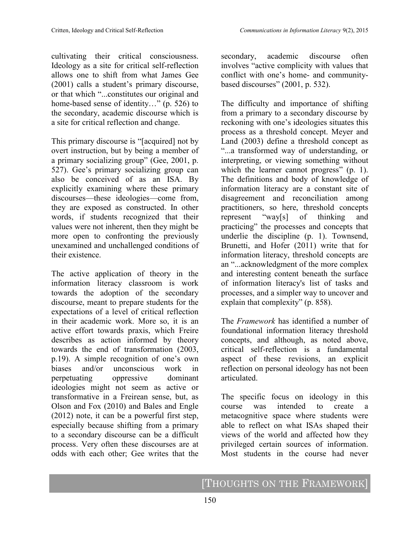cultivating their critical consciousness. Ideology as a site for critical self-reflection allows one to shift from what James Gee (2001) calls a student's primary discourse, or that which "...constitutes our original and home-based sense of identity…" (p. 526) to the secondary, academic discourse which is a site for critical reflection and change.

This primary discourse is "[acquired] not by overt instruction, but by being a member of a primary socializing group" (Gee, 2001, p. 527). Gee's primary socializing group can also be conceived of as an ISA. By explicitly examining where these primary discourses—these ideologies—come from, they are exposed as constructed. In other words, if students recognized that their values were not inherent, then they might be more open to confronting the previously unexamined and unchallenged conditions of their existence.

The active application of theory in the information literacy classroom is work towards the adoption of the secondary discourse, meant to prepare students for the expectations of a level of critical reflection in their academic work. More so, it is an active effort towards praxis, which Freire describes as action informed by theory towards the end of transformation (2003, p.19). A simple recognition of one's own biases and/or unconscious work in perpetuating oppressive dominant ideologies might not seem as active or transformative in a Freirean sense, but, as Olson and Fox (2010) and Bales and Engle (2012) note, it can be a powerful first step, especially because shifting from a primary to a secondary discourse can be a difficult process. Very often these discourses are at odds with each other; Gee writes that the

secondary, academic discourse often involves "active complicity with values that conflict with one's home- and communitybased discourses" (2001, p. 532).

The difficulty and importance of shifting from a primary to a secondary discourse by reckoning with one's ideologies situates this process as a threshold concept. Meyer and Land (2003) define a threshold concept as "...a transformed way of understanding, or interpreting, or viewing something without which the learner cannot progress" (p. 1). The definitions and body of knowledge of information literacy are a constant site of disagreement and reconciliation among practitioners, so here, threshold concepts represent "way[s] of thinking and practicing" the processes and concepts that underlie the discipline (p. 1). Townsend, Brunetti, and Hofer (2011) write that for information literacy, threshold concepts are an "...acknowledgment of the more complex and interesting content beneath the surface of information literacy's list of tasks and processes, and a simpler way to uncover and explain that complexity" (p. 858).

The *Framework* has identified a number of foundational information literacy threshold concepts, and although, as noted above, critical self-reflection is a fundamental aspect of these revisions, an explicit reflection on personal ideology has not been articulated.

The specific focus on ideology in this course was intended to create a metacognitive space where students were able to reflect on what ISAs shaped their views of the world and affected how they privileged certain sources of information. Most students in the course had never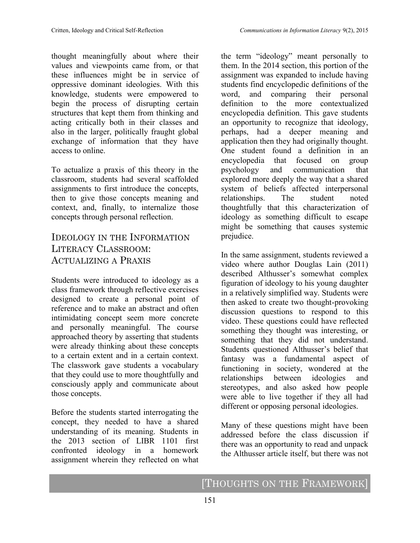thought meaningfully about where their values and viewpoints came from, or that these influences might be in service of oppressive dominant ideologies. With this knowledge, students were empowered to begin the process of disrupting certain structures that kept them from thinking and acting critically both in their classes and also in the larger, politically fraught global exchange of information that they have access to online.

To actualize a praxis of this theory in the classroom, students had several scaffolded assignments to first introduce the concepts, then to give those concepts meaning and context, and, finally, to internalize those concepts through personal reflection.

## IDEOLOGY IN THE INFORMATION LITERACY CLASSROOM: ACTUALIZING A PRAXIS

Students were introduced to ideology as a class framework through reflective exercises designed to create a personal point of reference and to make an abstract and often intimidating concept seem more concrete and personally meaningful. The course approached theory by asserting that students were already thinking about these concepts to a certain extent and in a certain context. The classwork gave students a vocabulary that they could use to more thoughtfully and consciously apply and communicate about those concepts.

Before the students started interrogating the concept, they needed to have a shared understanding of its meaning. Students in the 2013 section of LIBR 1101 first confronted ideology in a homework assignment wherein they reflected on what

the term "ideology" meant personally to them. In the 2014 section, this portion of the assignment was expanded to include having students find encyclopedic definitions of the word, and comparing their personal definition to the more contextualized encyclopedia definition. This gave students an opportunity to recognize that ideology, perhaps, had a deeper meaning and application then they had originally thought. One student found a definition in an encyclopedia that focused on group psychology and communication that explored more deeply the way that a shared system of beliefs affected interpersonal relationships. The student noted thoughtfully that this characterization of ideology as something difficult to escape might be something that causes systemic prejudice.

In the same assignment, students reviewed a video where author Douglas Lain (2011) described Althusser's somewhat complex figuration of ideology to his young daughter in a relatively simplified way. Students were then asked to create two thought-provoking discussion questions to respond to this video. These questions could have reflected something they thought was interesting, or something that they did not understand. Students questioned Althusser's belief that fantasy was a fundamental aspect of functioning in society, wondered at the relationships between ideologies and stereotypes, and also asked how people were able to live together if they all had different or opposing personal ideologies.

Many of these questions might have been addressed before the class discussion if there was an opportunity to read and unpack the Althusser article itself, but there was not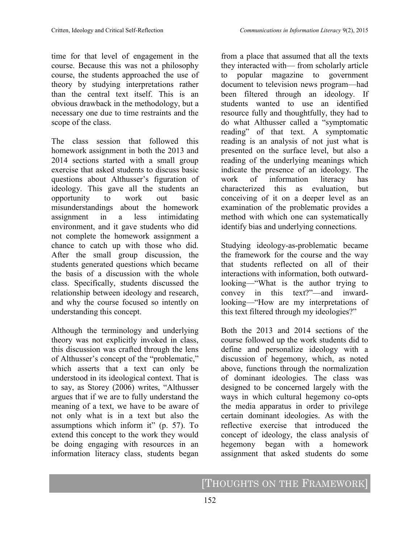time for that level of engagement in the course. Because this was not a philosophy course, the students approached the use of theory by studying interpretations rather than the central text itself. This is an obvious drawback in the methodology, but a necessary one due to time restraints and the scope of the class.

The class session that followed this homework assignment in both the 2013 and 2014 sections started with a small group exercise that asked students to discuss basic questions about Althusser's figuration of ideology. This gave all the students an opportunity to work out basic misunderstandings about the homework assignment in a less intimidating environment, and it gave students who did not complete the homework assignment a chance to catch up with those who did. After the small group discussion, the students generated questions which became the basis of a discussion with the whole class. Specifically, students discussed the relationship between ideology and research, and why the course focused so intently on understanding this concept.

Although the terminology and underlying theory was not explicitly invoked in class, this discussion was crafted through the lens of Althusser's concept of the "problematic," which asserts that a text can only be understood in its ideological context. That is to say, as Storey (2006) writes, "Althusser argues that if we are to fully understand the meaning of a text, we have to be aware of not only what is in a text but also the assumptions which inform it" (p. 57). To extend this concept to the work they would be doing engaging with resources in an information literacy class, students began

from a place that assumed that all the texts they interacted with— from scholarly article to popular magazine to government document to television news program—had been filtered through an ideology. If students wanted to use an identified resource fully and thoughtfully, they had to do what Althusser called a "symptomatic reading" of that text. A symptomatic reading is an analysis of not just what is presented on the surface level, but also a reading of the underlying meanings which indicate the presence of an ideology. The work of information literacy has characterized this as evaluation, but conceiving of it on a deeper level as an examination of the problematic provides a method with which one can systematically identify bias and underlying connections.

Studying ideology-as-problematic became the framework for the course and the way that students reflected on all of their interactions with information, both outwardlooking—"What is the author trying to convey in this text?"—and inwardlooking—"How are my interpretations of this text filtered through my ideologies?"

Both the 2013 and 2014 sections of the course followed up the work students did to define and personalize ideology with a discussion of hegemony, which, as noted above, functions through the normalization of dominant ideologies. The class was designed to be concerned largely with the ways in which cultural hegemony co-opts the media apparatus in order to privilege certain dominant ideologies. As with the reflective exercise that introduced the concept of ideology, the class analysis of hegemony began with a homework assignment that asked students do some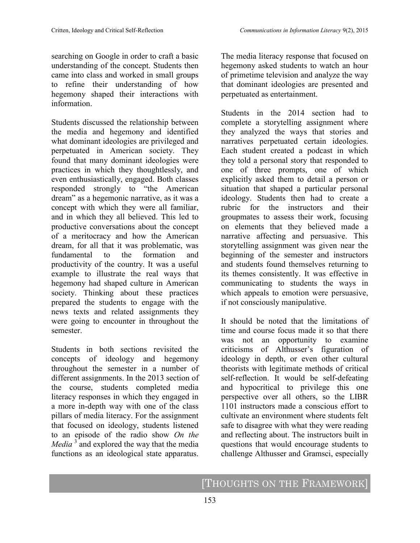searching on Google in order to craft a basic understanding of the concept. Students then came into class and worked in small groups to refine their understanding of how hegemony shaped their interactions with information.

Students discussed the relationship between the media and hegemony and identified what dominant ideologies are privileged and perpetuated in American society. They found that many dominant ideologies were practices in which they thoughtlessly, and even enthusiastically, engaged. Both classes responded strongly to "the American dream" as a hegemonic narrative, as it was a concept with which they were all familiar, and in which they all believed. This led to productive conversations about the concept of a meritocracy and how the American dream, for all that it was problematic, was fundamental to the formation and productivity of the country. It was a useful example to illustrate the real ways that hegemony had shaped culture in American society. Thinking about these practices prepared the students to engage with the news texts and related assignments they were going to encounter in throughout the semester.

Students in both sections revisited the concepts of ideology and hegemony throughout the semester in a number of different assignments. In the 2013 section of the course, students completed media literacy responses in which they engaged in a more in-depth way with one of the class pillars of media literacy. For the assignment that focused on ideology, students listened to an episode of the radio show *On the Media* <sup>3</sup> and explored the way that the media functions as an ideological state apparatus.

The media literacy response that focused on hegemony asked students to watch an hour of primetime television and analyze the way that dominant ideologies are presented and perpetuated as entertainment.

Students in the 2014 section had to complete a storytelling assignment where they analyzed the ways that stories and narratives perpetuated certain ideologies. Each student created a podcast in which they told a personal story that responded to one of three prompts, one of which explicitly asked them to detail a person or situation that shaped a particular personal ideology. Students then had to create a rubric for the instructors and their groupmates to assess their work, focusing on elements that they believed made a narrative affecting and persuasive. This storytelling assignment was given near the beginning of the semester and instructors and students found themselves returning to its themes consistently. It was effective in communicating to students the ways in which appeals to emotion were persuasive, if not consciously manipulative.

It should be noted that the limitations of time and course focus made it so that there was not an opportunity to examine criticisms of Althusser's figuration of ideology in depth, or even other cultural theorists with legitimate methods of critical self-reflection. It would be self-defeating and hypocritical to privilege this one perspective over all others, so the LIBR 1101 instructors made a conscious effort to cultivate an environment where students felt safe to disagree with what they were reading and reflecting about. The instructors built in questions that would encourage students to challenge Althusser and Gramsci, especially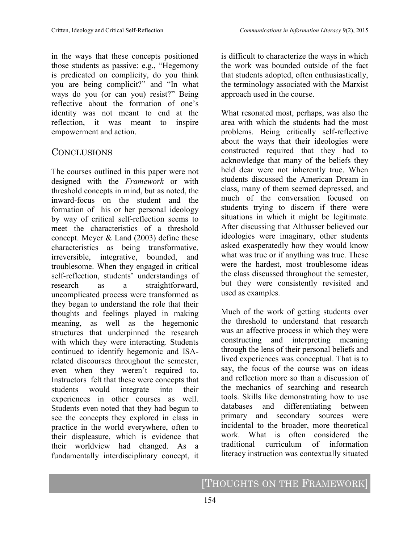in the ways that these concepts positioned those students as passive: e.g., "Hegemony is predicated on complicity, do you think you are being complicit?" and "In what ways do you (or can you) resist?" Being reflective about the formation of one's identity was not meant to end at the reflection, it was meant to inspire empowerment and action.

#### **CONCLUSIONS**

The courses outlined in this paper were not designed with the *Framework* or with threshold concepts in mind, but as noted, the inward-focus on the student and the formation of his or her personal ideology by way of critical self-reflection seems to meet the characteristics of a threshold concept. Meyer & Land (2003) define these characteristics as being transformative, irreversible, integrative, bounded, and troublesome. When they engaged in critical self-reflection, students' understandings of research as a straightforward, uncomplicated process were transformed as they began to understand the role that their thoughts and feelings played in making meaning, as well as the hegemonic structures that underpinned the research with which they were interacting. Students continued to identify hegemonic and ISArelated discourses throughout the semester, even when they weren't required to. Instructors felt that these were concepts that students would integrate into their experiences in other courses as well. Students even noted that they had begun to see the concepts they explored in class in practice in the world everywhere, often to their displeasure, which is evidence that their worldview had changed. As a fundamentally interdisciplinary concept, it

is difficult to characterize the ways in which the work was bounded outside of the fact that students adopted, often enthusiastically, the terminology associated with the Marxist approach used in the course.

What resonated most, perhaps, was also the area with which the students had the most problems. Being critically self-reflective about the ways that their ideologies were constructed required that they had to acknowledge that many of the beliefs they held dear were not inherently true. When students discussed the American Dream in class, many of them seemed depressed, and much of the conversation focused on students trying to discern if there were situations in which it might be legitimate. After discussing that Althusser believed our ideologies were imaginary, other students asked exasperatedly how they would know what was true or if anything was true. These were the hardest, most troublesome ideas the class discussed throughout the semester, but they were consistently revisited and used as examples.

Much of the work of getting students over the threshold to understand that research was an affective process in which they were constructing and interpreting meaning through the lens of their personal beliefs and lived experiences was conceptual. That is to say, the focus of the course was on ideas and reflection more so than a discussion of the mechanics of searching and research tools. Skills like demonstrating how to use databases and differentiating between primary and secondary sources were incidental to the broader, more theoretical work. What is often considered the traditional curriculum of information literacy instruction was contextually situated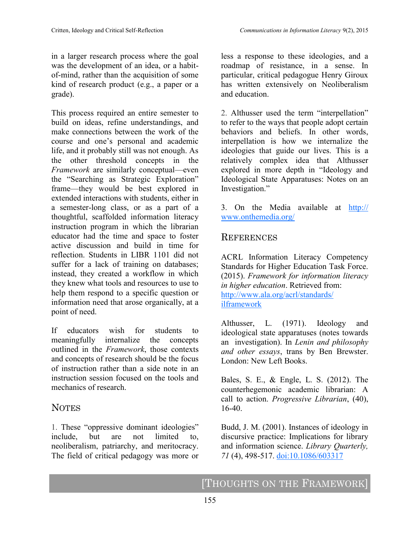This process required an entire semester to build on ideas, refine understandings, and make connections between the work of the course and one's personal and academic life, and it probably still was not enough. As the other threshold concepts in the *Framework* are similarly conceptual—even the "Searching as Strategic Exploration" frame—they would be best explored in extended interactions with students, either in a semester-long class, or as a part of a thoughtful, scaffolded information literacy instruction program in which the librarian educator had the time and space to foster active discussion and build in time for reflection. Students in LIBR 1101 did not suffer for a lack of training on databases; instead, they created a workflow in which they knew what tools and resources to use to help them respond to a specific question or information need that arose organically, at a point of need.

If educators wish for students to meaningfully internalize the concepts outlined in the *Framework*, those contexts and concepts of research should be the focus of instruction rather than a side note in an instruction session focused on the tools and mechanics of research.

# **NOTES**

1. These "oppressive dominant ideologies" include, but are not limited to, neoliberalism, patriarchy, and meritocracy. The field of critical pedagogy was more or less a response to these ideologies, and a roadmap of resistance, in a sense. In particular, critical pedagogue Henry Giroux has written extensively on Neoliberalism and education.

2. Althusser used the term "interpellation" to refer to the ways that people adopt certain behaviors and beliefs. In other words, interpellation is how we internalize the ideologies that guide our lives. This is a relatively complex idea that Althusser explored in more depth in "Ideology and Ideological State Apparatuses: Notes on an Investigation."

3. On the Media available at [http://](http://www.onthemedia.org/) [www.onthemedia.org/](http://www.onthemedia.org/)

## **REFERENCES**

ACRL Information Literacy Competency Standards for Higher Education Task Force. (2015). *Framework for information literacy in higher education*. Retrieved from: [http://www.ala.org/acrl/standards/](http://www.ala.org/acrl/standards/ilframework) [ilframework](http://www.ala.org/acrl/standards/ilframework)

Althusser, L. (1971). Ideology and ideological state apparatuses (notes towards an investigation). In *Lenin and philosophy and other essays*, trans by Ben Brewster. London: New Left Books.

Bales, S. E., & Engle, L. S. (2012). The counterhegemonic academic librarian: A call to action. *Progressive Librarian*, (40), 16-40.

Budd, J. M. (2001). Instances of ideology in discursive practice: Implications for library and information science. *Library Quarterly, 71* (4), 498-517. [doi:10.1086/603317](http://dx.doi.org/10.1086/603317)